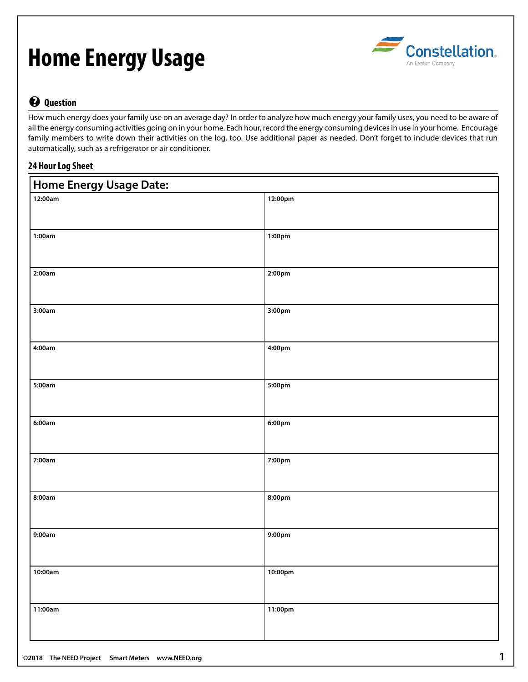# **Home Energy Usage**



## **? Question**

How much energy does your family use on an average day? In order to analyze how much energy your family uses, you need to be aware of all the energy consuming activities going on in your home. Each hour, record the energy consuming devices in use in your home. Encourage family members to write down their activities on the log, too. Use additional paper as needed. Don't forget to include devices that run automatically, such as a refrigerator or air conditioner.

### **24 Hour Log Sheet**

| <b>Home Energy Usage Date:</b> |                    |  |  |  |  |  |  |  |
|--------------------------------|--------------------|--|--|--|--|--|--|--|
| 12:00am                        | 12:00pm            |  |  |  |  |  |  |  |
| 1:00am                         | 1:00pm             |  |  |  |  |  |  |  |
| 2:00am                         | 2:00 <sub>pm</sub> |  |  |  |  |  |  |  |
| 3:00am                         | 3:00pm             |  |  |  |  |  |  |  |
| 4:00am                         | 4:00pm             |  |  |  |  |  |  |  |
| 5:00am                         | 5:00pm             |  |  |  |  |  |  |  |
| 6:00am                         | 6:00pm             |  |  |  |  |  |  |  |
| 7:00am                         | 7:00pm             |  |  |  |  |  |  |  |
| 8:00am                         | 8:00pm             |  |  |  |  |  |  |  |
| 9:00am                         | 9:00pm             |  |  |  |  |  |  |  |
| 10:00am                        | 10:00pm            |  |  |  |  |  |  |  |
| 11:00am                        | 11:00pm            |  |  |  |  |  |  |  |